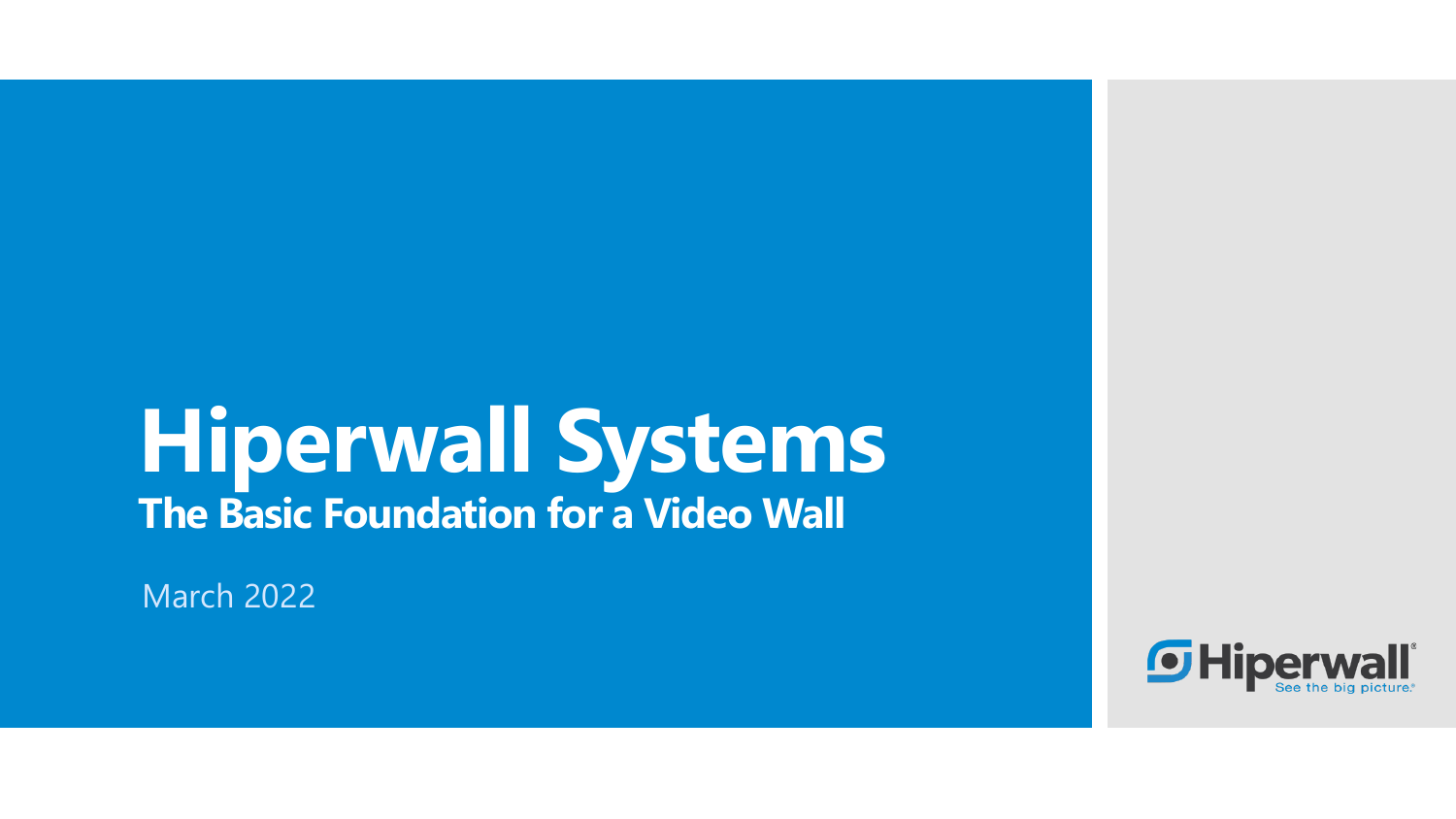## **Hiperwall Systems The Basic Foundation for a Video Wall**

March 2022

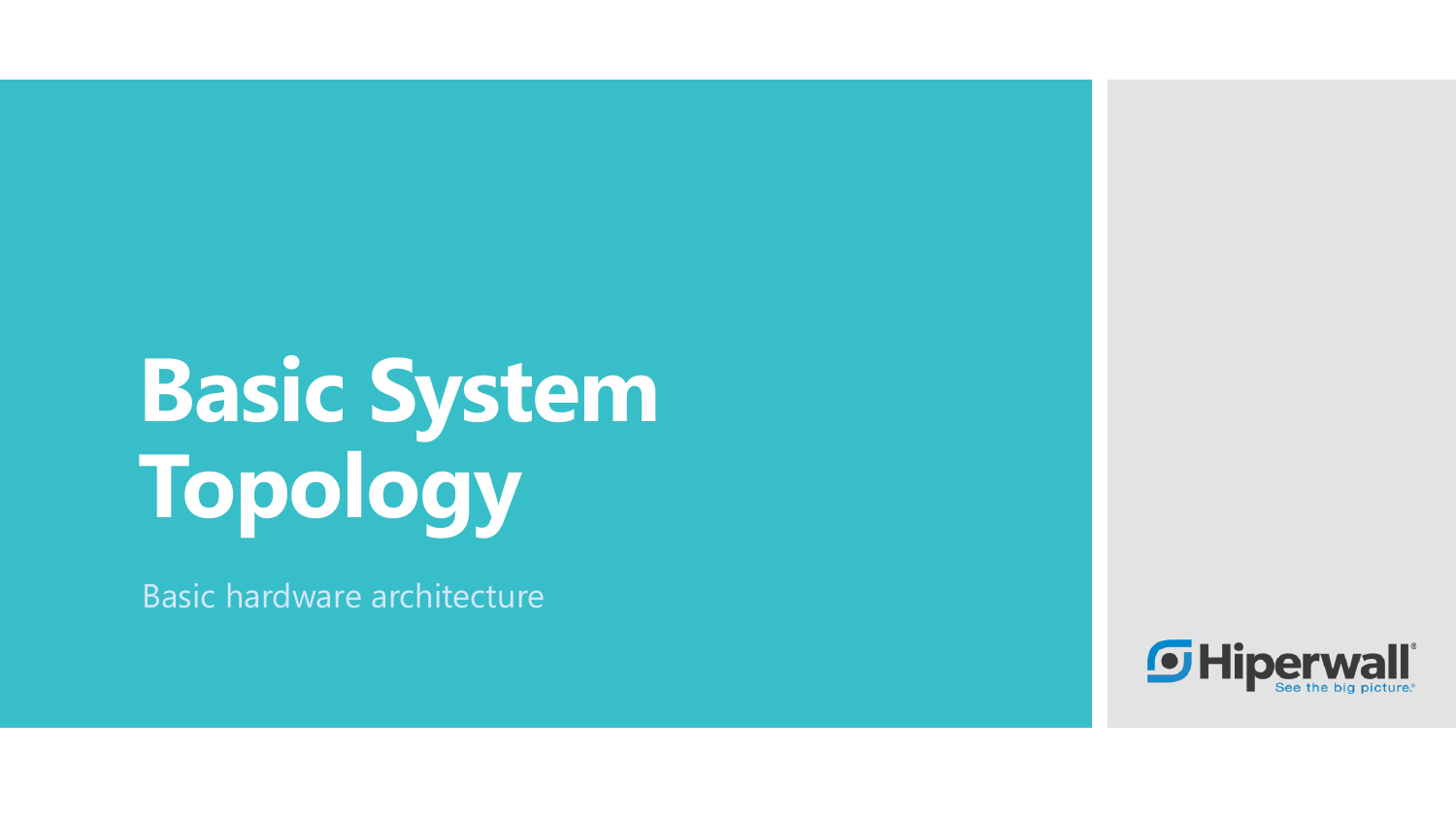# **Basic System Topology**

Basic hardware architecture

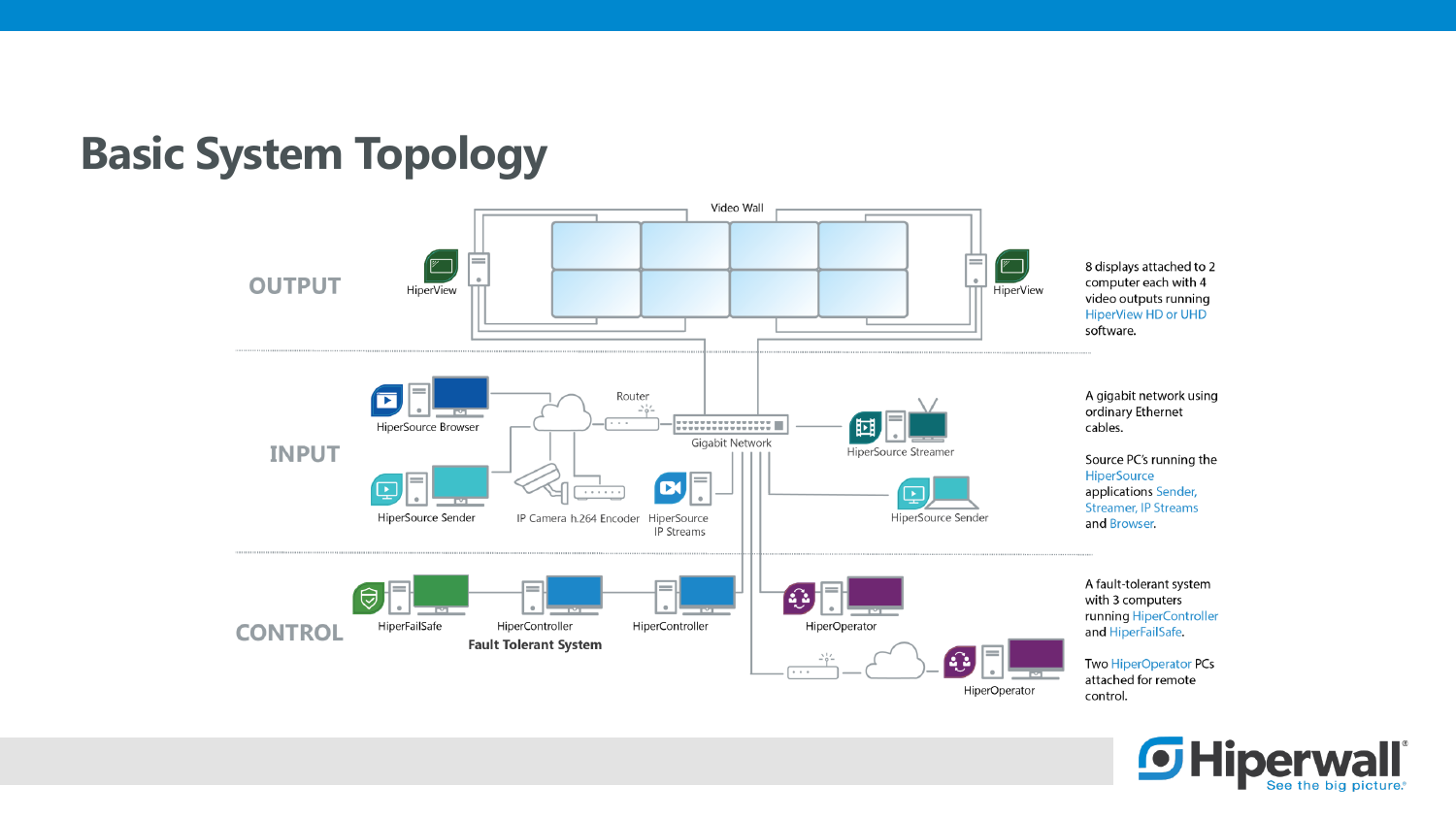



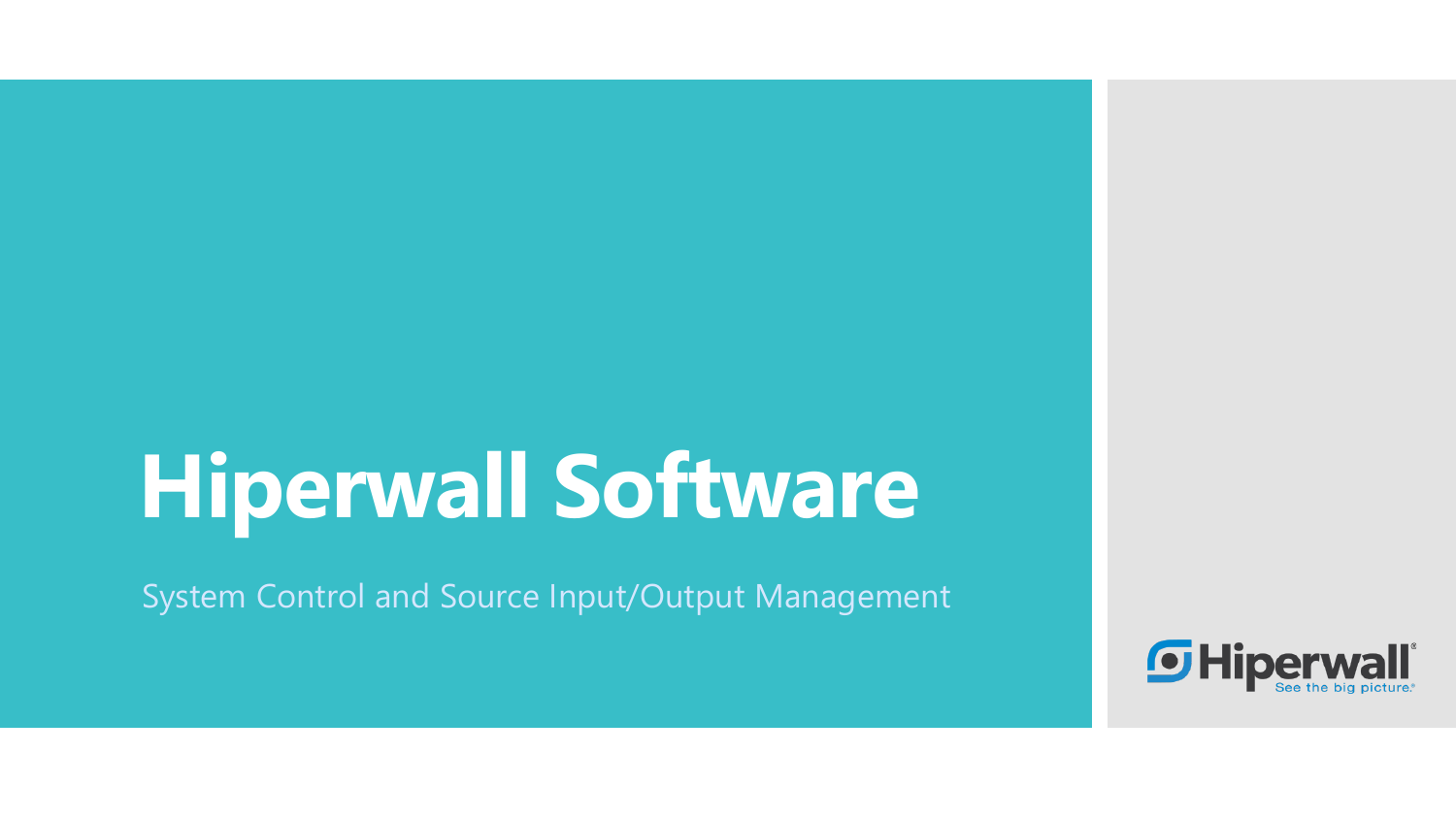# **Hiperwall Software**

System Control and Source Input/Output Management

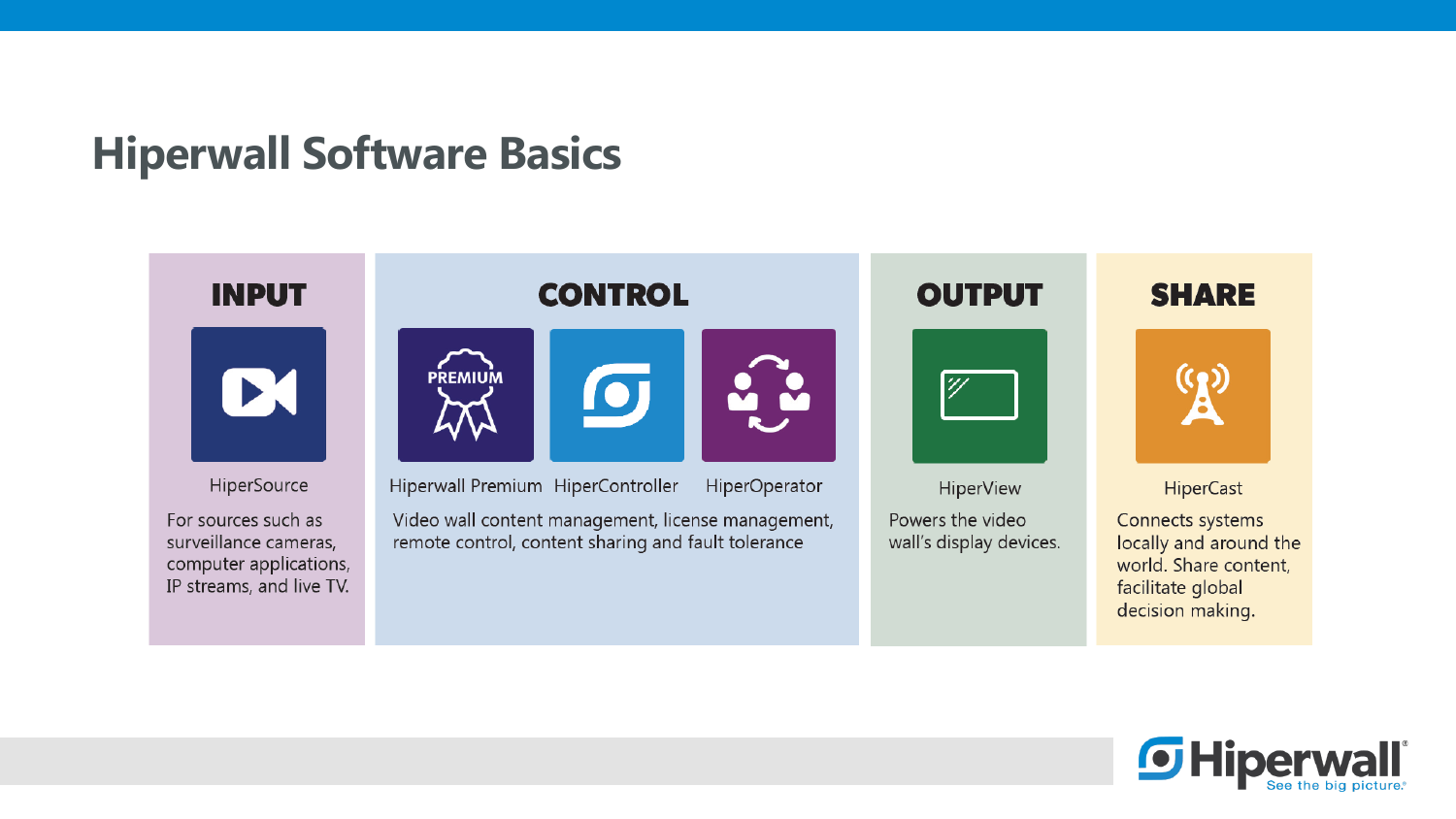### **Hiperwall Software Basics**



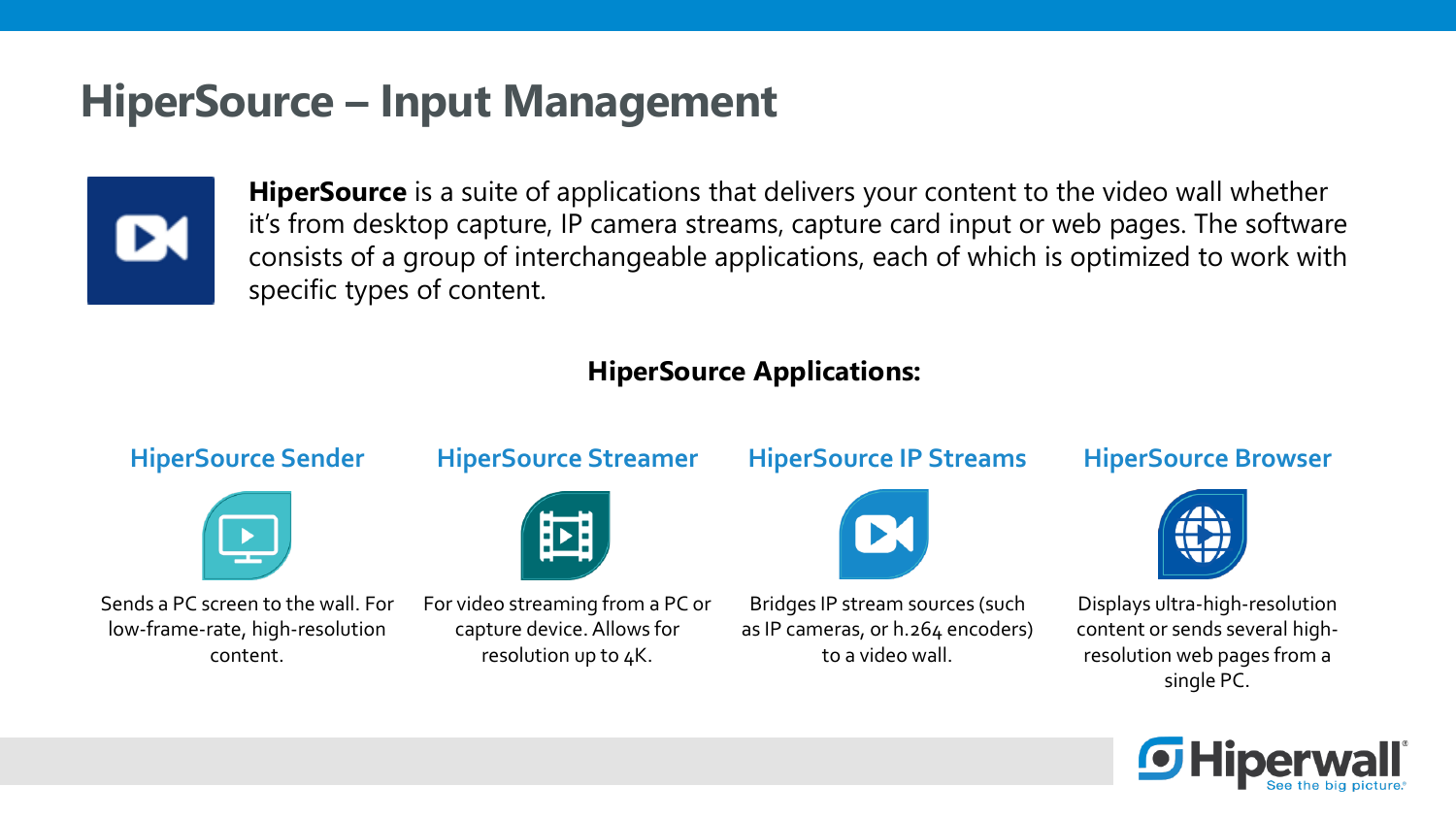### **HiperSource – Input Management**



**HiperSource** is a suite of applications that delivers your content to the video wall whether it's from desktop capture, IP camera streams, capture card input or web pages. The software consists of a group of interchangeable applications, each of which is optimized to work with specific types of content.

### **HiperSource Applications:**



single PC.

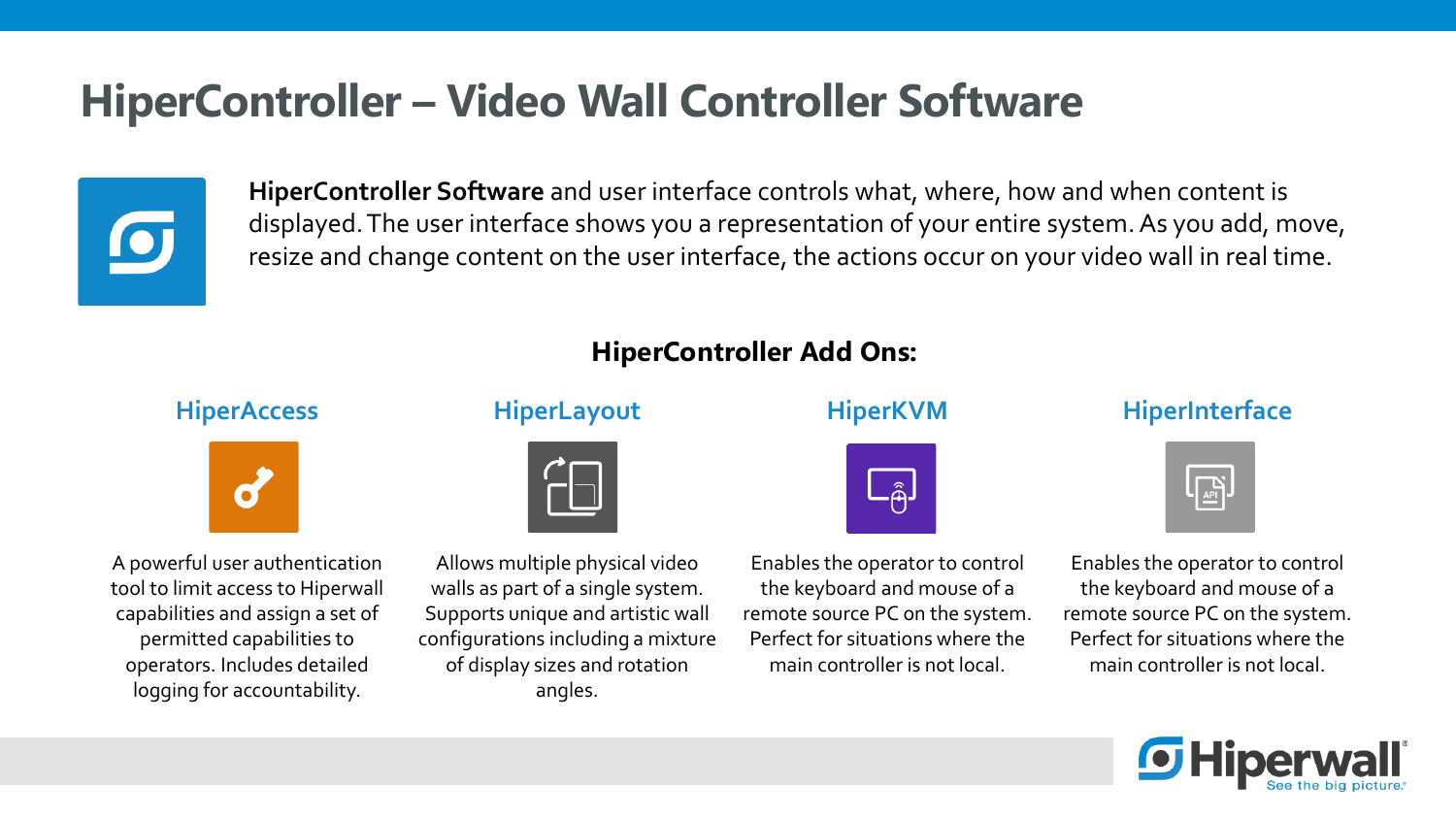### **HiperController – Video Wall Controller Software**



**HiperController Software** and user interface controls what, where, how and when content is displayed. The user interface shows you a representation of your entire system. As you add, move, resize and change content on the user interface, the actions occur on your video wall in real time.

### **HiperController Add Ons:**



A powerful user authentication tool to limit access to Hiperwall capabilities and assign a set of permitted capabilities to operators. Includes detailed logging for accountability.



Allows multiple physical video walls as part of a single system. Supports unique and artistic wall configurations including a mixture of display sizes and rotation angles.



Enables the operator to control the keyboard and mouse of a remote source PC on the system. Perfect for situations where the main controller is not local.

#### **HiperAccess HiperLayout HiperKVM HiperInterface**



Enables the operator to control the keyboard and mouse of a remote source PC on the system. Perfect for situations where the main controller is not local.

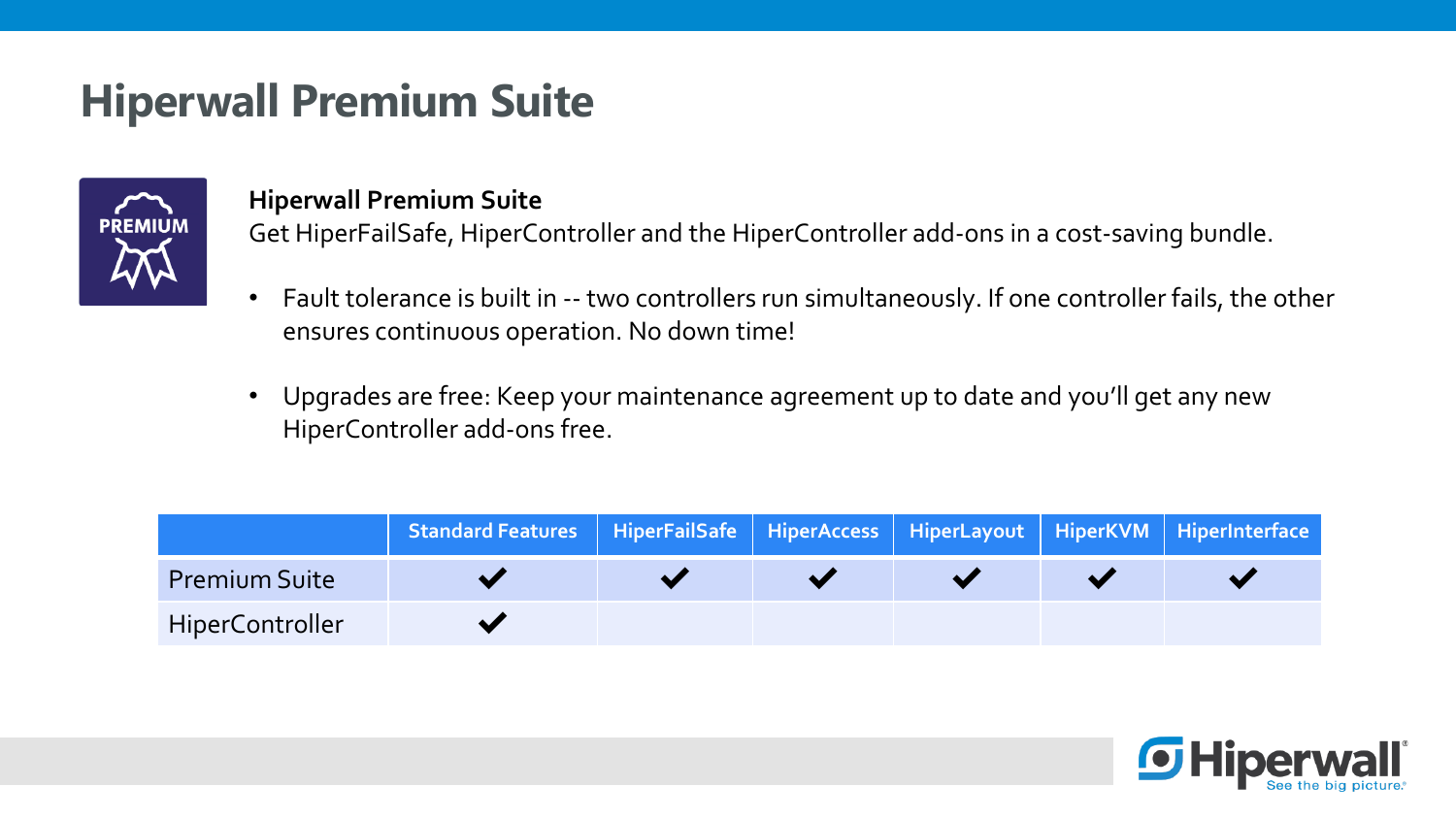### **Hiperwall Premium Suite**



### **Hiperwall Premium Suite**

Get HiperFailSafe, HiperController and the HiperController add-ons in a cost-saving bundle.

- Fault tolerance is built in -- two controllers run simultaneously. If one controller fails, the other ensures continuous operation. No down time!
- Upgrades are free: Keep your maintenance agreement up to date and you'll get any new HiperController add-ons free.

|                        | Standard Features   HiperFailSafe   HiperAccess   HiperLayout   HiperKVM   HiperInterface |  |  |  |
|------------------------|-------------------------------------------------------------------------------------------|--|--|--|
| <b>Premium Suite</b>   |                                                                                           |  |  |  |
| <b>HiperController</b> |                                                                                           |  |  |  |

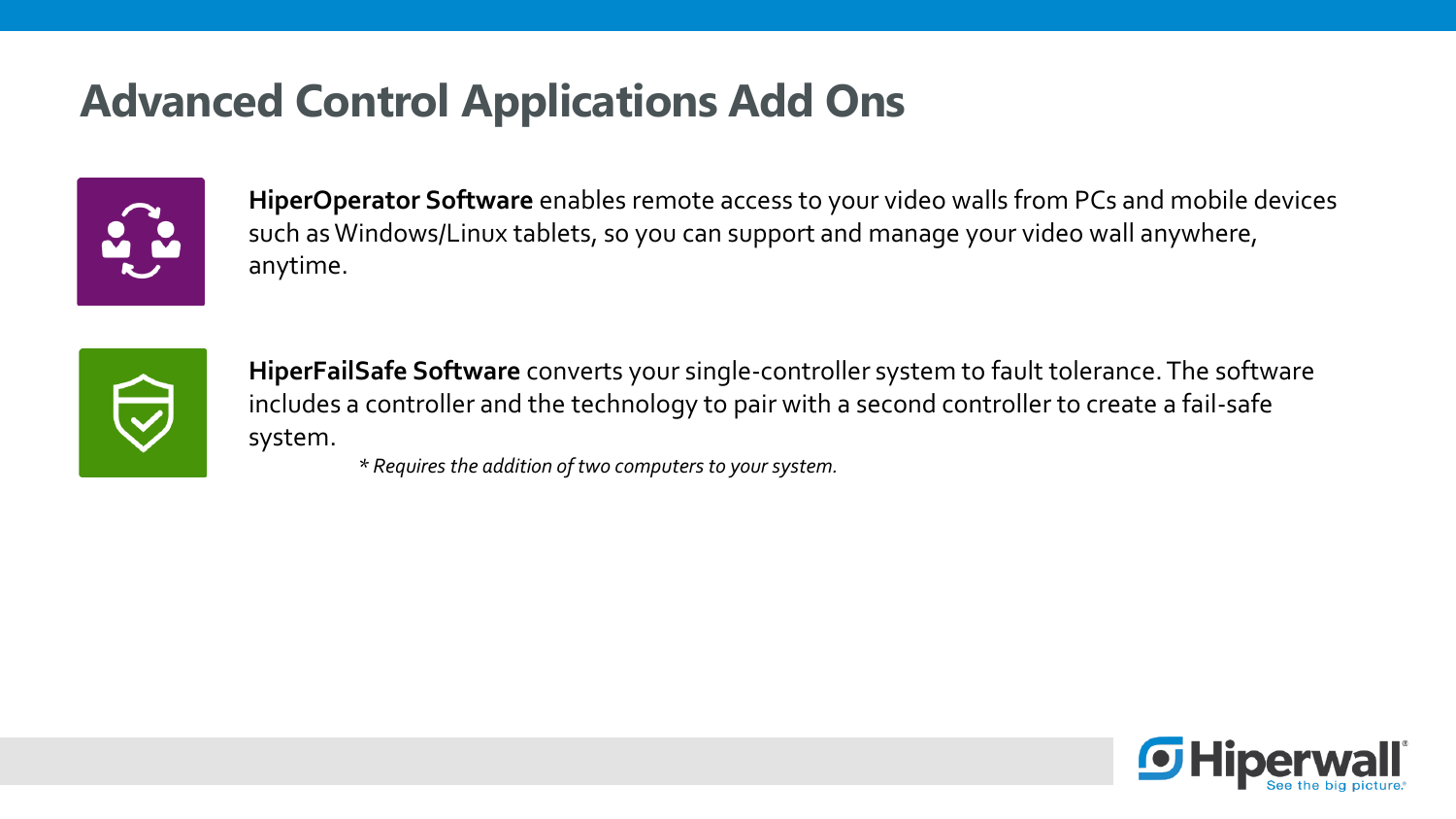## **Advanced Control Applications Add Ons**



**HiperOperator Software** enables remote access to your video walls from PCs and mobile devices such as Windows/Linux tablets, so you can support and manage your video wall anywhere, anytime.



**HiperFailSafe Software** converts your single-controller system to fault tolerance. The software includes a controller and the technology to pair with a second controller to create a fail-safe system.

*\* Requires the addition of two computers to your system.*

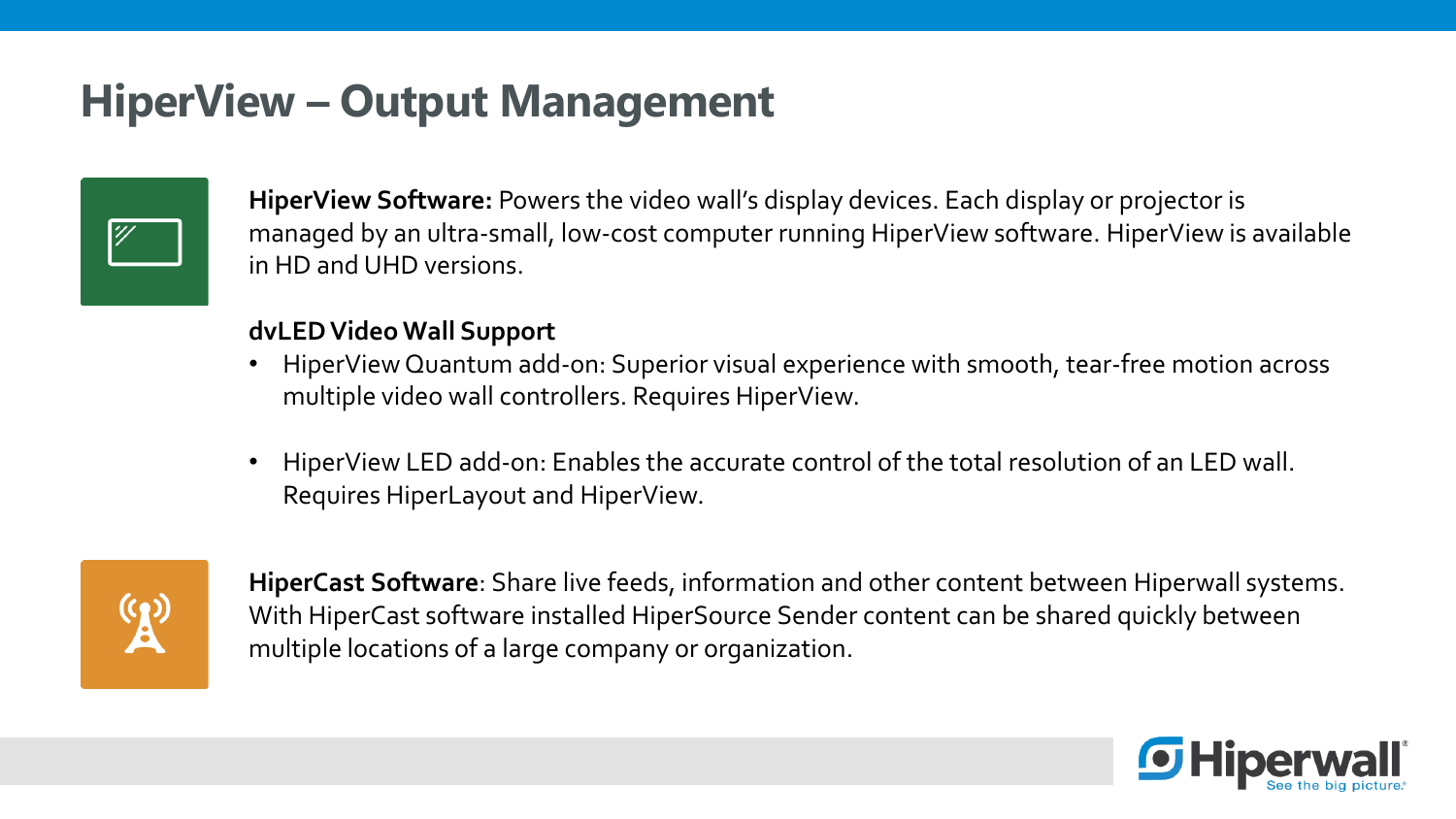## **HiperView – Output Management**



**HiperView Software:** Powers the video wall's display devices. Each display or projector is managed by an ultra-small, low-cost computer running HiperView software. HiperView is available in HD and UHD versions.

#### **dvLED Video Wall Support**

- HiperView Quantum add-on: Superior visual experience with smooth, tear-free motion across multiple video wall controllers. Requires HiperView.
- HiperView LED add-on: Enables the accurate control of the total resolution of an LED wall. Requires HiperLayout and HiperView.



**HiperCast Software**: Share live feeds, information and other content between Hiperwall systems. With HiperCast software installed HiperSource Sender content can be shared quickly between multiple locations of a large company or organization.

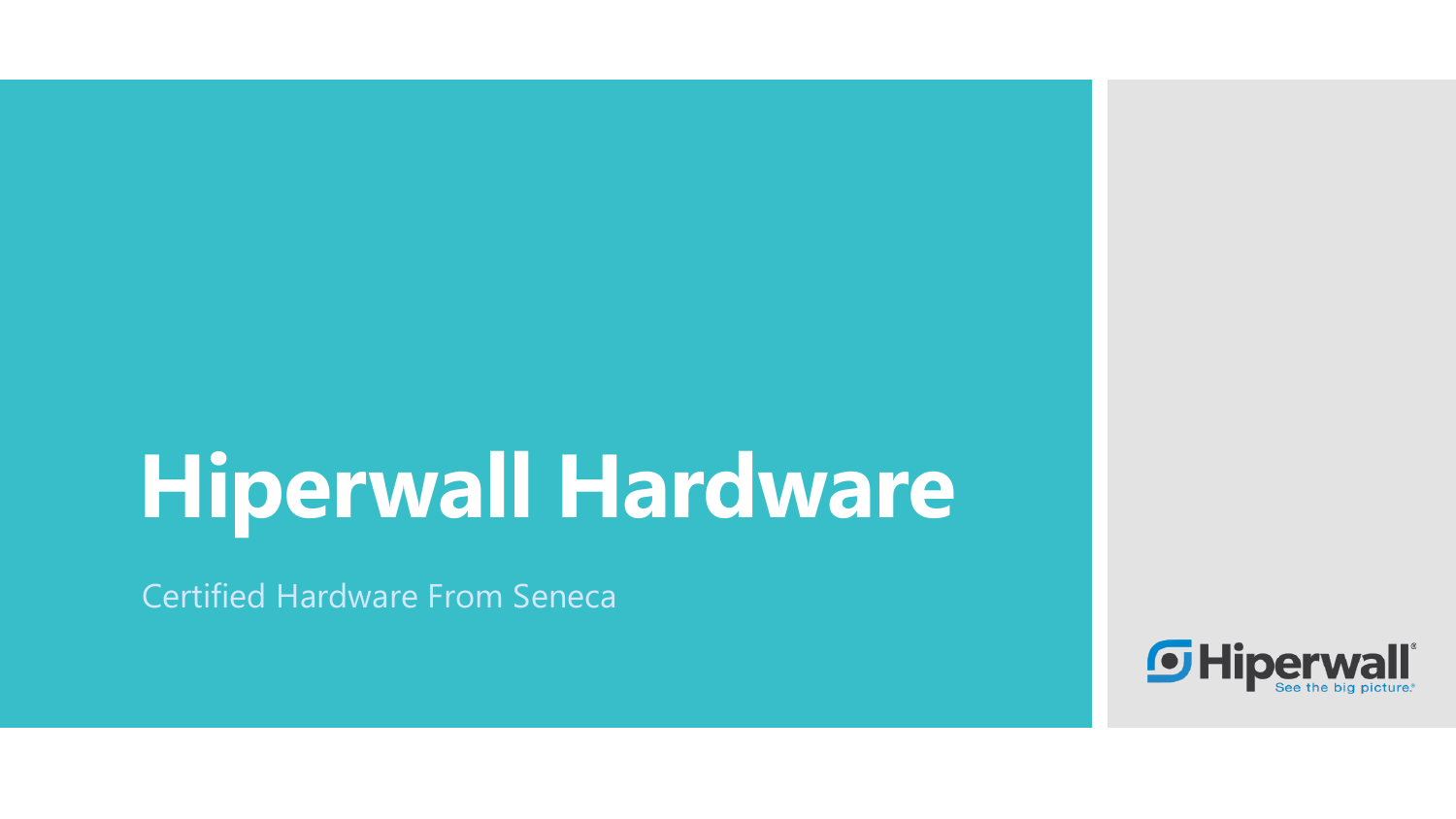# **Hiperwall Hardware**

Certified Hardware From Seneca

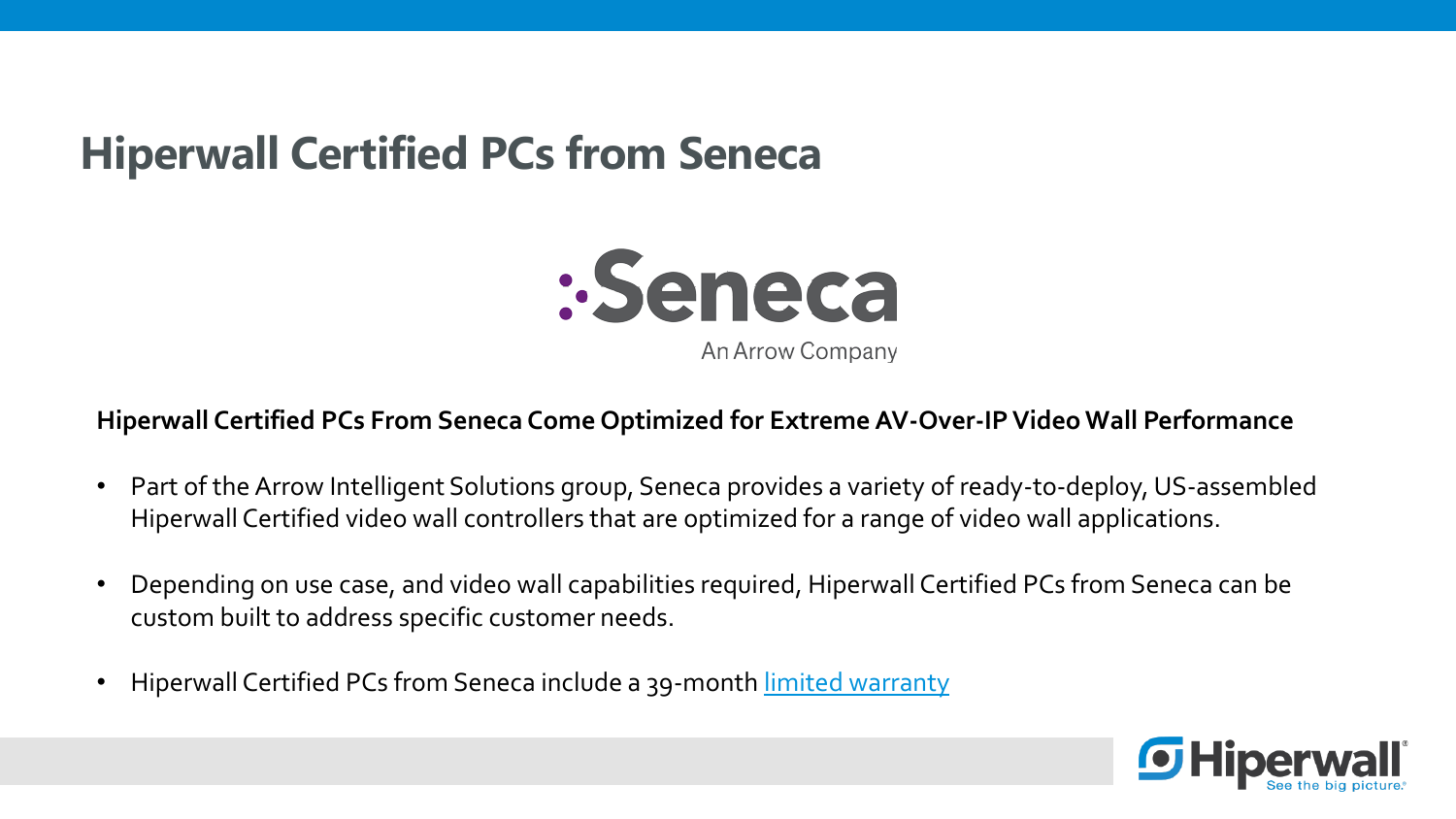## **Hiperwall Certified PCs from Seneca**



#### **Hiperwall Certified PCs From Seneca Come Optimized for Extreme AV-Over-IP Video Wall Performance**

- Part of the Arrow Intelligent Solutions group, Seneca provides a variety of ready-to-deploy, US-assembled Hiperwall Certified video wall controllers that are optimized for a range of video wall applications.
- Depending on use case, and video wall capabilities required, Hiperwall Certified PCs from Seneca can be custom built to address specific customer needs.
- Hiperwall Certified PCs from Seneca include a 39-month [limited warranty](https://www.senecadata.com/wp-content/uploads/2019/09/Seneca_Limited_Warranty.pdf)

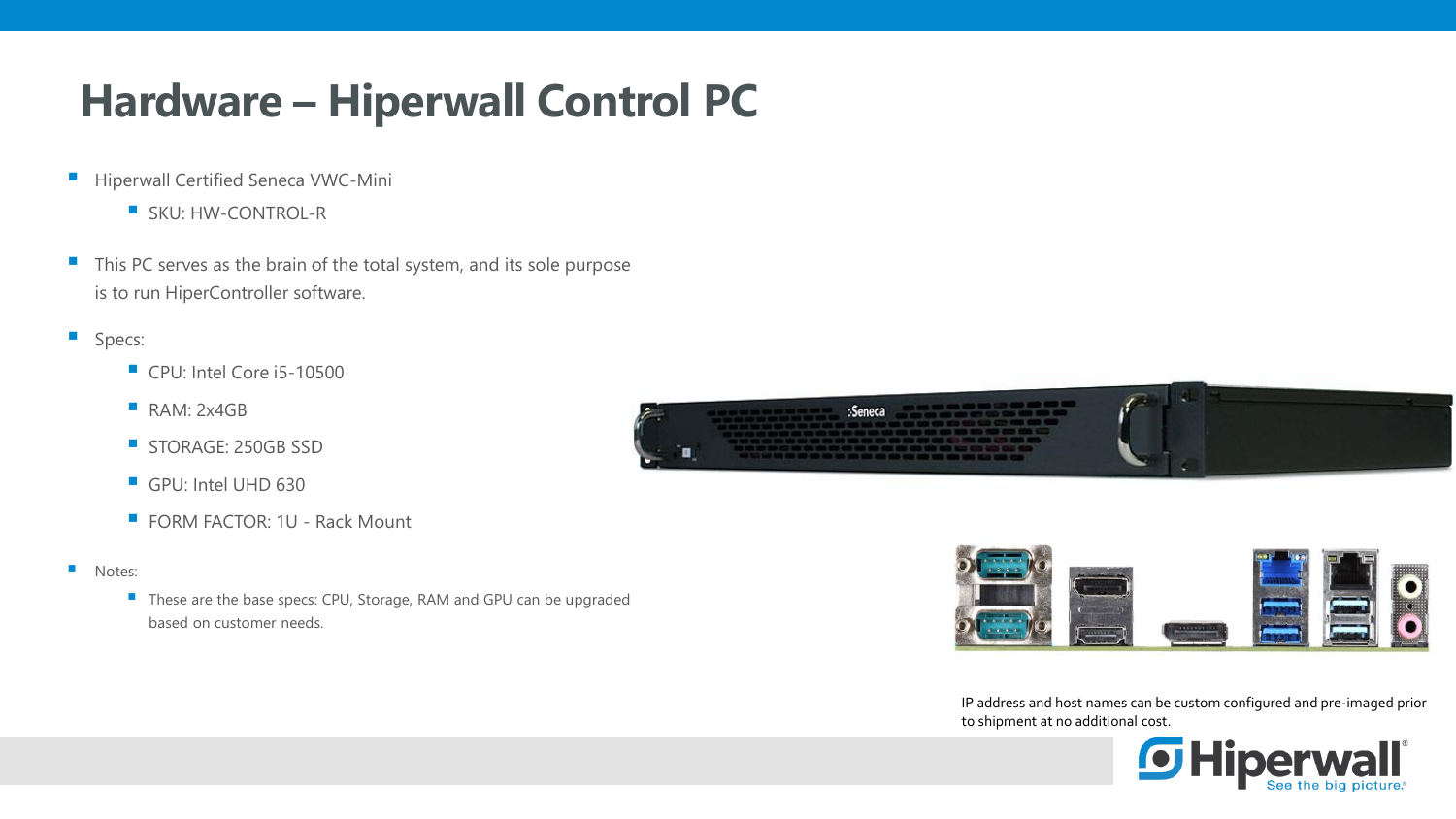## **Hardware – Hiperwall Control PC**

- **E** Hiperwall Certified Seneca VWC-Mini
	- SKU: HW-CONTROL-R
- This PC serves as the brain of the total system, and its sole purpose is to run HiperController software.
- **Specs:** 
	- CPU: Intel Core i5-10500
	- **RAM: 2x4GB**
	- **STORAGE: 250GB SSD**
	- GPU: Intel UHD 630
	- FORM FACTOR: 1U Rack Mount
- Notes:
	- These are the base specs: CPU, Storage, RAM and GPU can be upgraded based on customer needs.





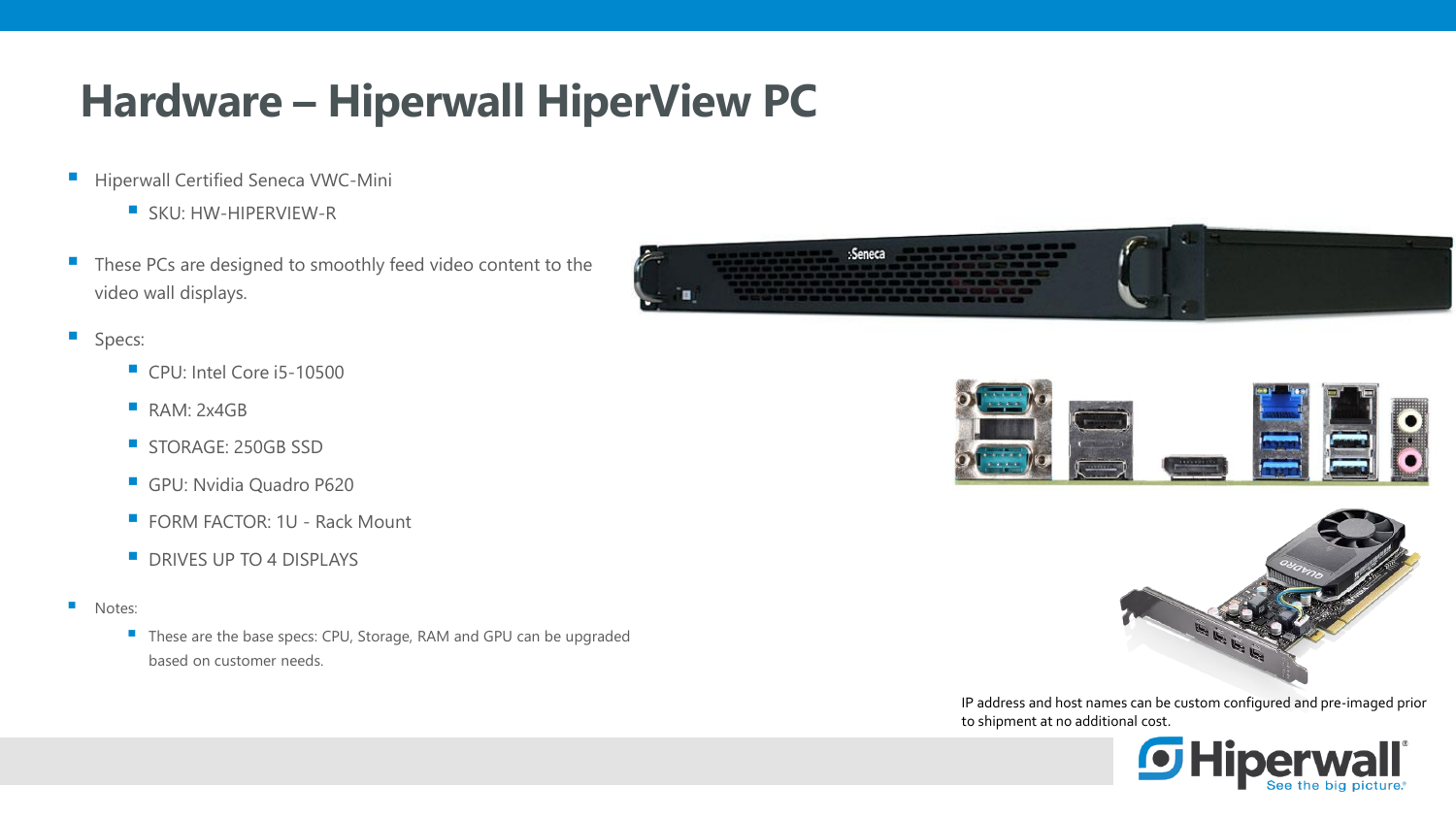## **Hardware – Hiperwall HiperView PC**

- **E** Hiperwall Certified Seneca VWC-Mini
	- **E** SKU: HW-HIPERVIEW-R
- These PCs are designed to smoothly feed video content to the video wall displays.
- **Specs:** 
	- CPU: Intel Core i5-10500
	- **RAM: 2x4GB**
	- **STORAGE: 250GB SSD**
	- **GPU: Nvidia Quadro P620**
	- FORM FACTOR: 1U Rack Mount
	- **DRIVES UP TO 4 DISPLAYS**
- Notes:
	- These are the base specs: CPU, Storage, RAM and GPU can be upgraded based on customer needs.







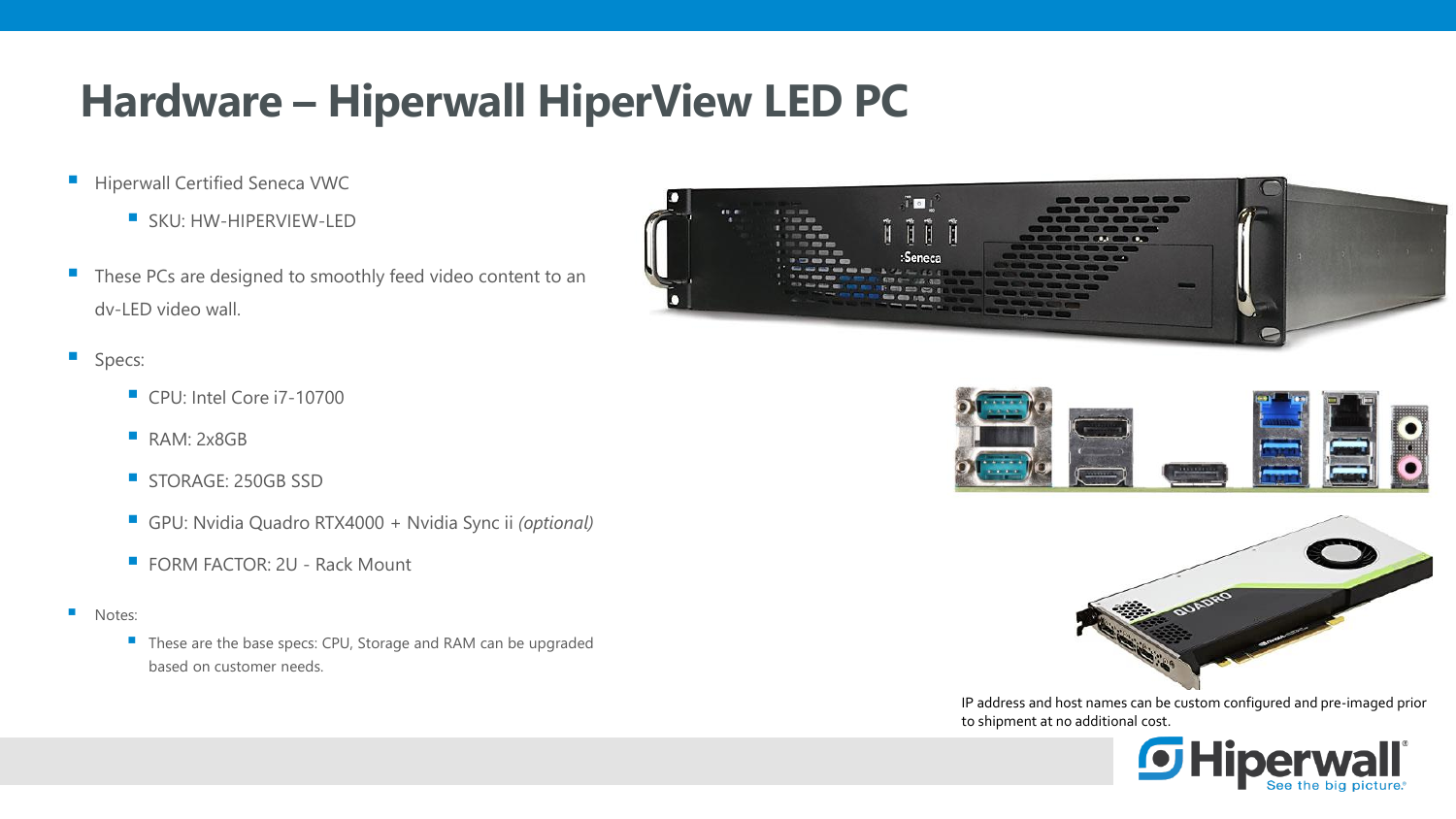## **Hardware – Hiperwall HiperView LED PC**

- **E** Hiperwall Certified Seneca VWC
	- **SKU: HW-HIPERVIEW-LED**
- These PCs are designed to smoothly feed video content to an dv-LED video wall.
- **Specs:** 
	- CPU: Intel Core i7-10700
	- **RAM: 2x8GB**
	- **STORAGE: 250GB SSD**
	- GPU: Nvidia Quadro RTX4000 + Nvidia Sync ii *(optional)*
	- FORM FACTOR: 2U Rack Mount
- Notes:
	- These are the base specs: CPU, Storage and RAM can be upgraded based on customer needs.







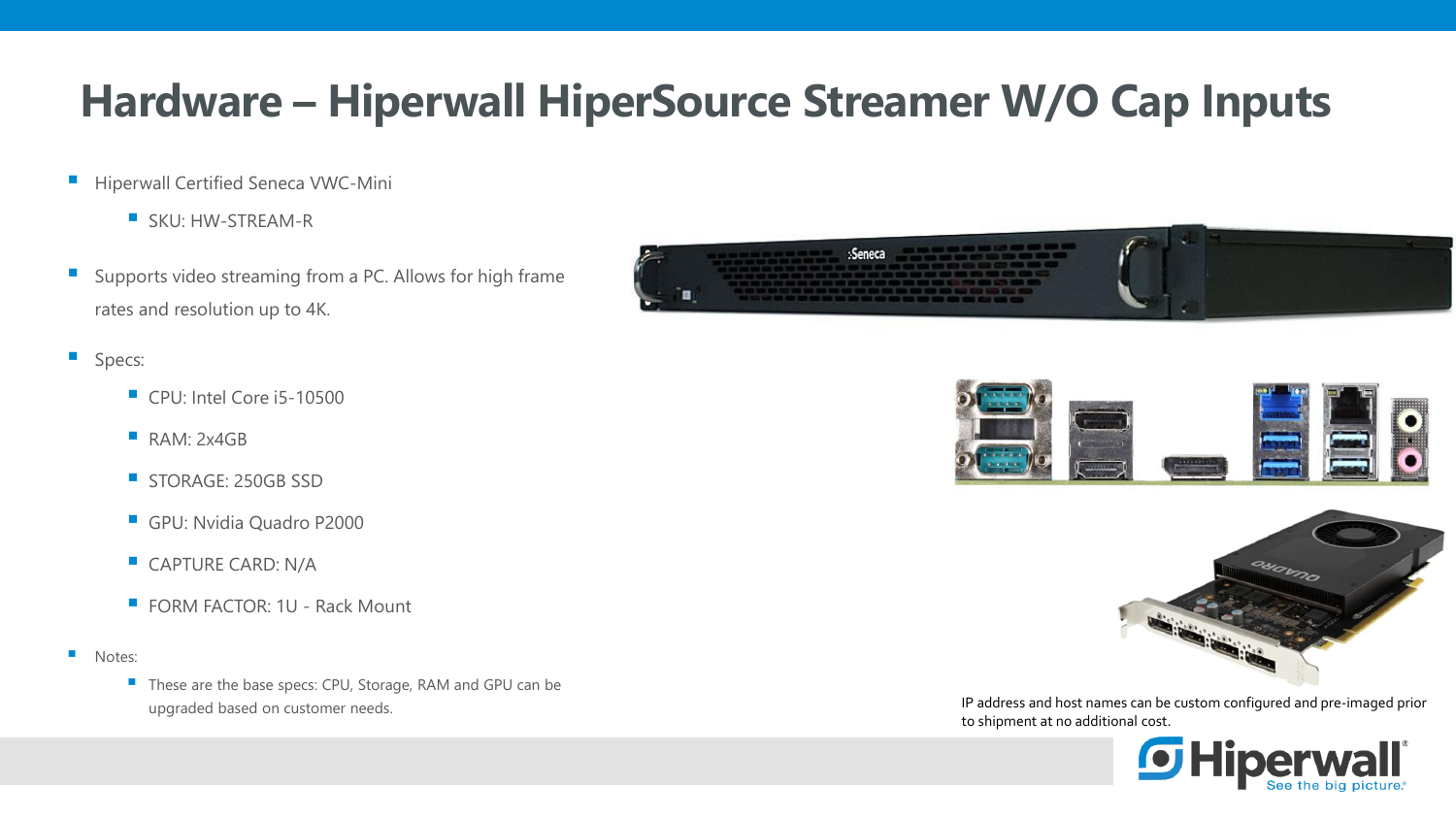## **Hardware – Hiperwall HiperSource Streamer W/O Cap Inputs**

- **E** Hiperwall Certified Seneca VWC-Mini
	- **E** SKU: HW-STREAM-R
- **E** Supports video streaming from a PC. Allows for high frame rates and resolution up to 4K.
- **Specs:** 
	- CPU: Intel Core i5-10500
	- **RAM: 2x4GB**
	- **STORAGE: 250GB SSD**
	- **GPU: Nvidia Quadro P2000**
	- **CAPTURE CARD: N/A**
	- FORM FACTOR: 1U Rack Mount
- Notes:
	- These are the base specs: CPU, Storage, RAM and GPU can be







upgraded based on customer needs. IP address and host names can be custom configured and pre-imaged prior to shipment at no additional cost.

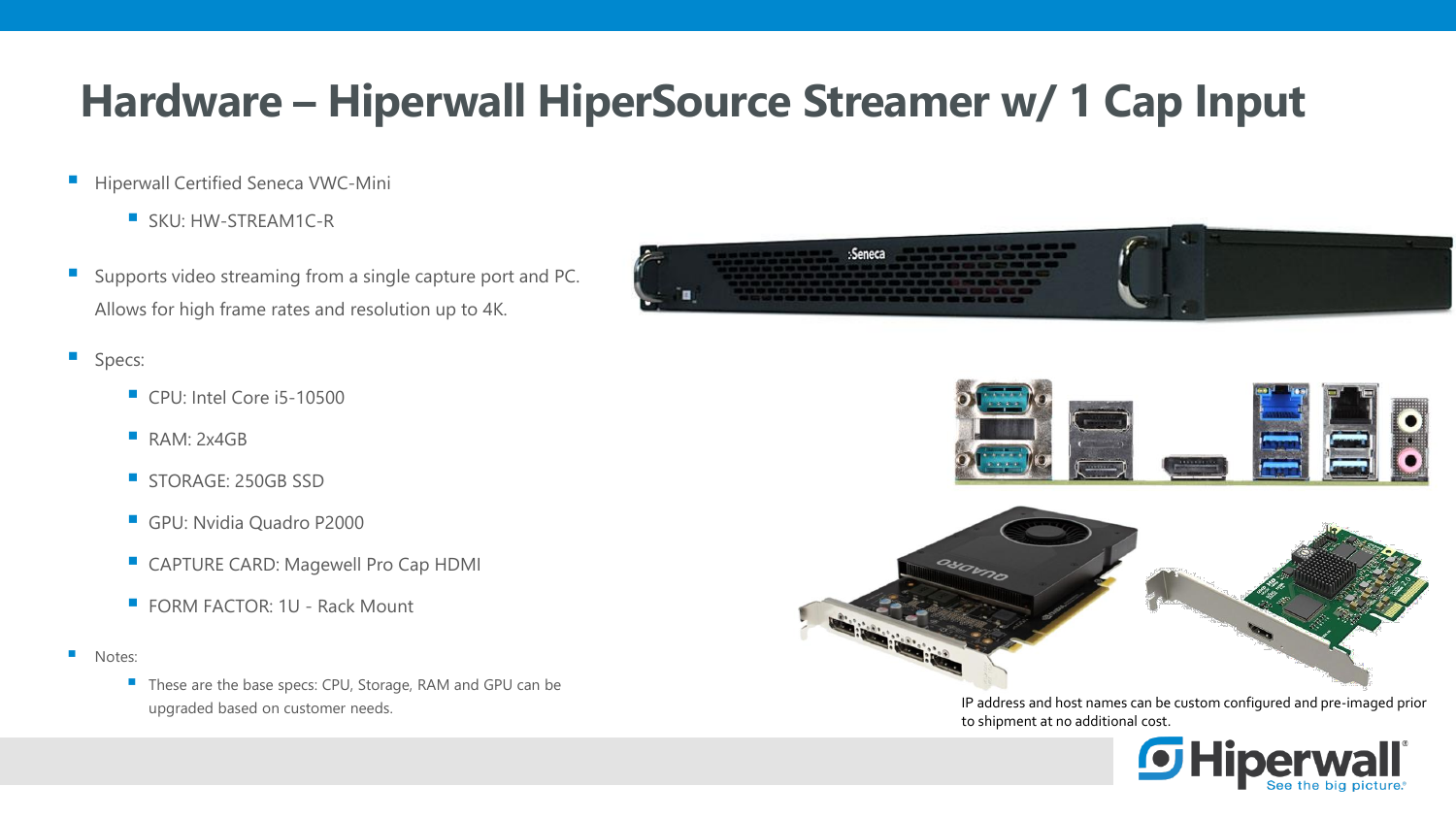## **Hardware – Hiperwall HiperSource Streamer w/ 1 Cap Input**

- **E** Hiperwall Certified Seneca VWC-Mini
	- SKU: HW-STREAM1C-R
- **E** Supports video streaming from a single capture port and PC. Allows for high frame rates and resolution up to 4K.
- **Specs:** 
	- CPU: Intel Core i5-10500
	- **RAM: 2x4GB**
	- **STORAGE: 250GB SSD**
	- **GPU: Nvidia Quadro P2000**
	- CAPTURE CARD: Magewell Pro Cap HDMI
	- FORM FACTOR: 1U Rack Mount
- Notes:
	- These are the base specs: CPU, Storage, RAM and GPU can be







upgraded based on customer needs. IP address and host names can be custom configured and pre-imaged prior to shipment at no additional cost.

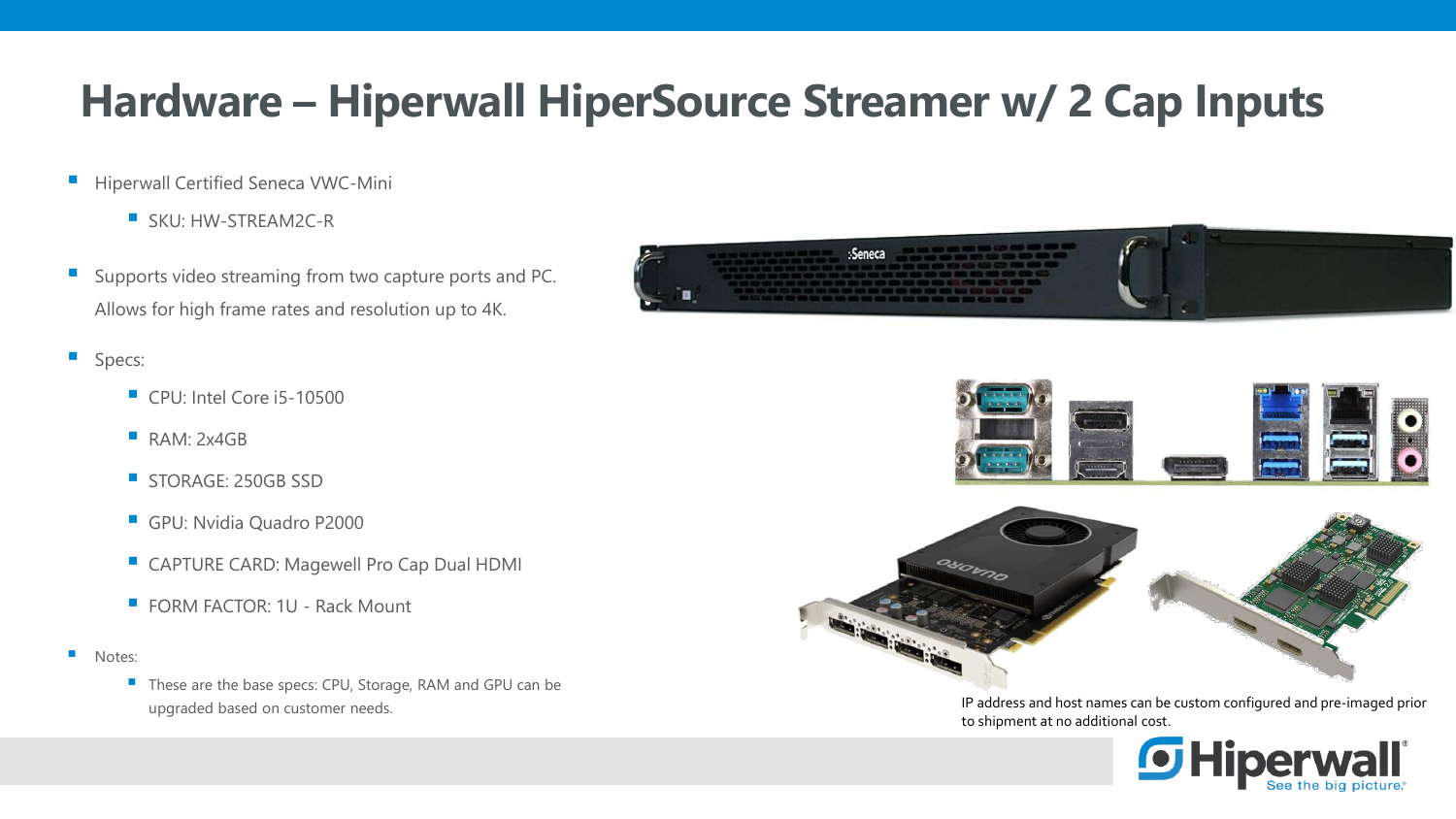## **Hardware – Hiperwall HiperSource Streamer w/ 2 Cap Inputs**

- **E** Hiperwall Certified Seneca VWC-Mini
	- SKU: HW-STREAM2C-R
- **E** Supports video streaming from two capture ports and PC. Allows for high frame rates and resolution up to 4K.
- **Specs:** 
	- CPU: Intel Core i5-10500
	- **RAM: 2x4GB**
	- **STORAGE: 250GB SSD**
	- **GPU: Nvidia Quadro P2000**
	- CAPTURE CARD: Magewell Pro Cap Dual HDMI
	- FORM FACTOR: 1U Rack Mount
- Notes:
	- These are the base specs: CPU, Storage, RAM and GPU can be







upgraded based on customer needs. IP address and host names can be custom configured and pre-imaged prior to shipment at no additional cost.

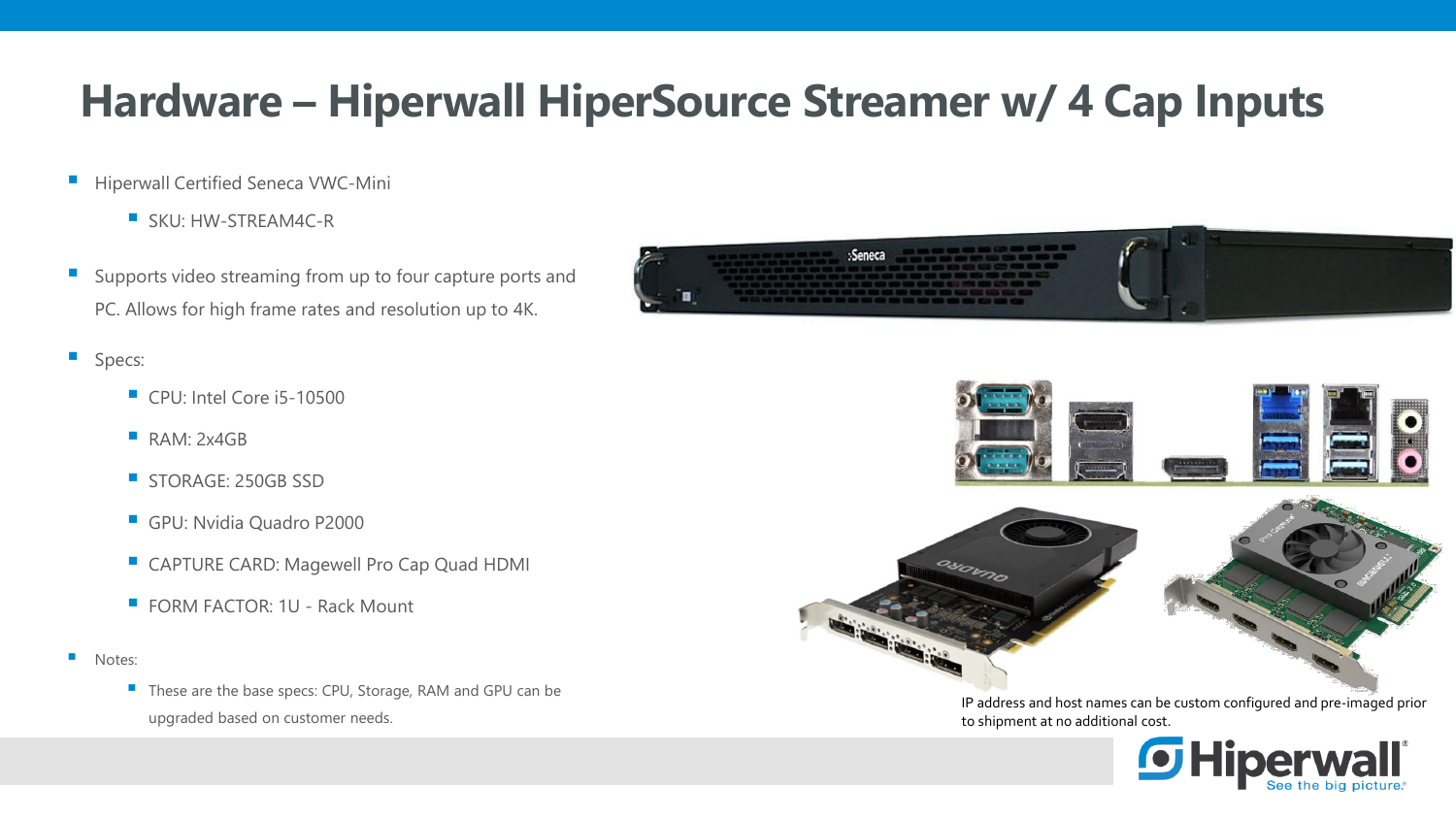## **Hardware – Hiperwall HiperSource Streamer w/ 4 Cap Inputs**

- **E** Hiperwall Certified Seneca VWC-Mini
	- SKU: HW-STREAM4C-R
- **E** Supports video streaming from up to four capture ports and PC. Allows for high frame rates and resolution up to 4K.
- **Specs:** 
	- CPU: Intel Core i5-10500
	- **RAM: 2x4GB**
	- **STORAGE: 250GB SSD**
	- **GPU: Nvidia Quadro P2000**
	- CAPTURE CARD: Magewell Pro Cap Quad HDMI
	- $\blacksquare$  FORM FACTOR: 1U Rack Mount
- Notes:
	- These are the base specs: CPU, Storage, RAM and GPU can be upgraded based on customer needs.







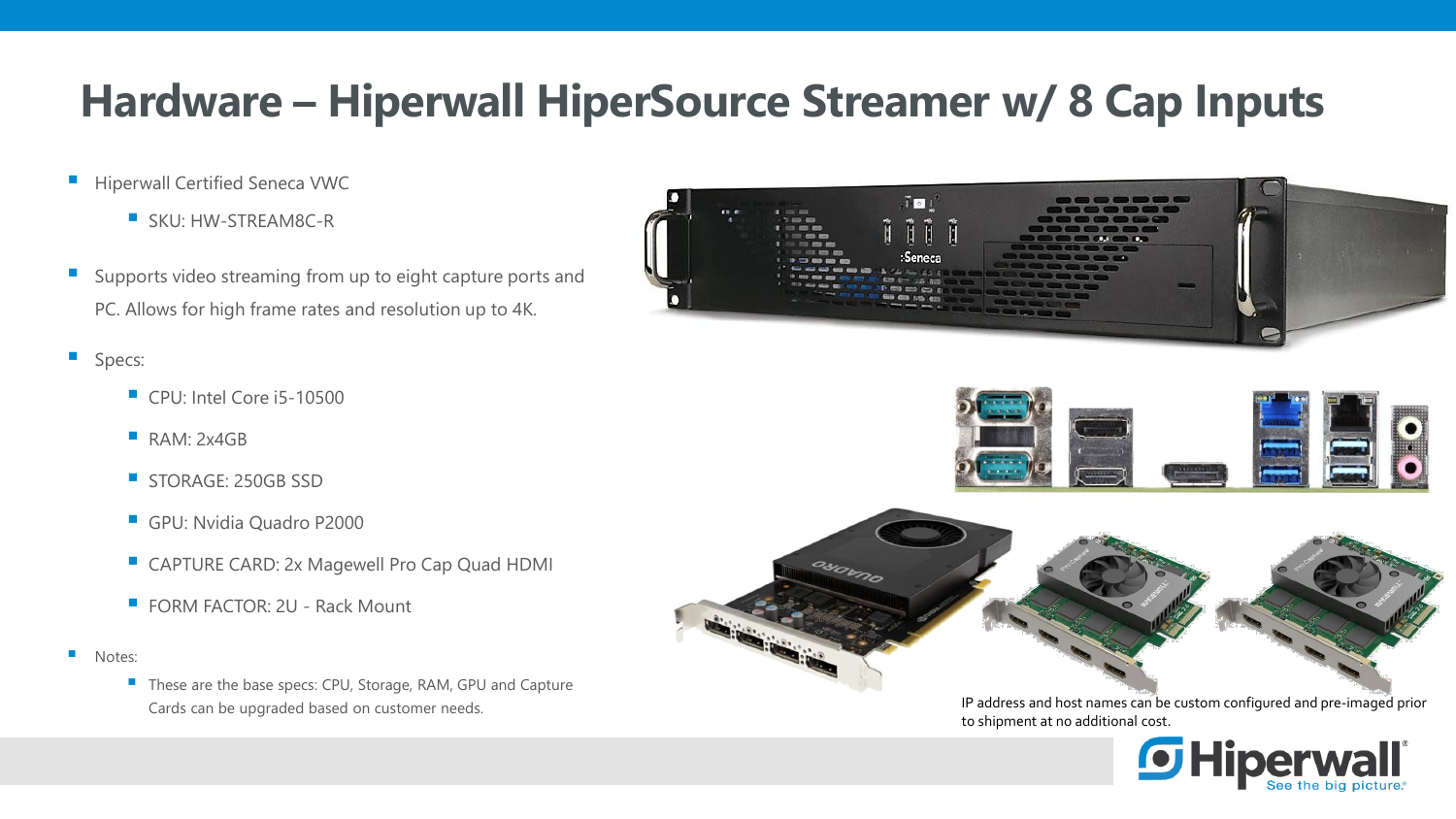### **Hardware – Hiperwall HiperSource Streamer w/ 8 Cap Inputs**

- **E** Hiperwall Certified Seneca VWC
	- SKU: HW-STREAM8C-R
- **E** Supports video streaming from up to eight capture ports and PC. Allows for high frame rates and resolution up to 4K.
- **Specs:** 
	- CPU: Intel Core i5-10500
	- **RAM: 2x4GB**
	- **STORAGE: 250GB SSD**
	- **GPU: Nvidia Quadro P2000**
	- CAPTURE CARD: 2x Magewell Pro Cap Quad HDMI
	- $\blacksquare$  FORM FACTOR: 2U Rack Mount
- Notes:
	- These are the base specs: CPU, Storage, RAM, GPU and Capture







Cards can be upgraded based on customer needs. IP address and host names can be custom configured and pre-imaged prior to shipment at no additional cost.

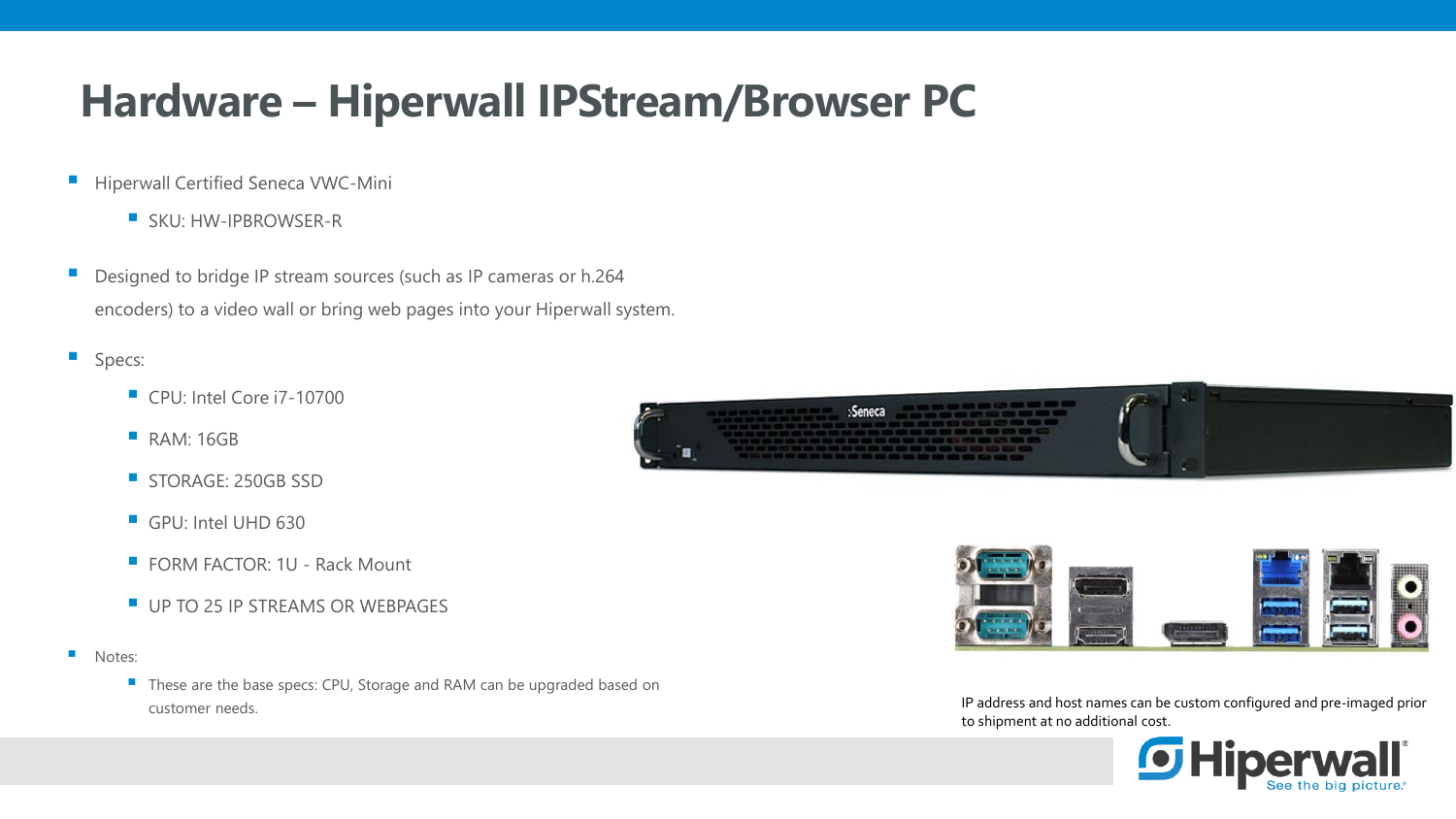### **Hardware – Hiperwall IPStream/Browser PC**

- **E** Hiperwall Certified Seneca VWC-Mini
	- SKU: HW-IPBROWSER-R
- Designed to bridge IP stream sources (such as IP cameras or h.264 encoders) to a video wall or bring web pages into your Hiperwall system.
- **Specs:** 
	- CPU: Intel Core i7-10700
	- **RAM: 16GB**
	- **STORAGE: 250GB SSD**
	- GPU: Intel UHD 630
	- FORM FACTOR: 1U Rack Mount
	- **UP TO 25 IP STREAMS OR WEBPAGES**
- Notes:
	- These are the base specs: CPU, Storage and RAM can be upgraded based on customer needs. IP address and host names can be custom configured and pre-imaged prior





to shipment at no additional cost.